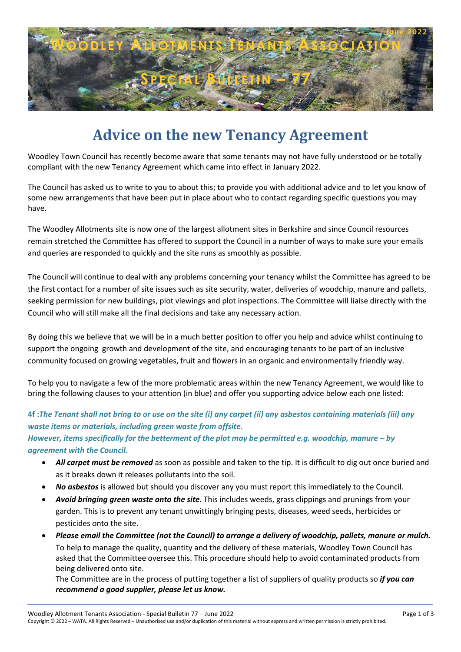

# **Advice on the new Tenancy Agreement**

Woodley Town Council has recently become aware that some tenants may not have fully understood or be totally compliant with the new Tenancy Agreement which came into effect in January 2022.

The Council has asked us to write to you to about this; to provide you with additional advice and to let you know of some new arrangements that have been put in place about who to contact regarding specific questions you may have.

The Woodley Allotments site is now one of the largest allotment sites in Berkshire and since Council resources remain stretched the Committee has offered to support the Council in a number of ways to make sure your emails and queries are responded to quickly and the site runs as smoothly as possible.

The Council will continue to deal with any problems concerning your tenancy whilst the Committee has agreed to be the first contact for a number of site issues such as site security, water, deliveries of woodchip, manure and pallets, seeking permission for new buildings, plot viewings and plot inspections. The Committee will liaise directly with the Council who will still make all the final decisions and take any necessary action.

By doing this we believe that we will be in a much better position to offer you help and advice whilst continuing to support the ongoing growth and development of the site, and encouraging tenants to be part of an inclusive community focused on growing vegetables, fruit and flowers in an organic and environmentally friendly way.

To help you to navigate a few of the more problematic areas within the new Tenancy Agreement, we would like to bring the following clauses to your attention (in blue) and offer you supporting advice below each one listed:

## **4f :***The Tenant shall not bring to or use on the site (i) any carpet (ii) any asbestos containing materials (iii) any waste items or materials, including green waste from offsite.*

## *However, items specifically for the betterment of the plot may be permitted e.g. woodchip, manure – by agreement with the Council.*

- *All carpet must be removed* as soon as possible and taken to the tip. It is difficult to dig out once buried and as it breaks down it releases pollutants into the soil.
- *No asbestos* is allowed but should you discover any you must report this immediately to the Council.
- *Avoid bringing green waste onto the site*. This includes weeds, grass clippings and prunings from your garden. This is to prevent any tenant unwittingly bringing pests, diseases, weed seeds, herbicides or pesticides onto the site.
- *Please email the Committee (not the Council) to arrange a delivery of woodchip, pallets, manure or mulch.*  To help to manage the quality, quantity and the delivery of these materials, Woodley Town Council has asked that the Committee oversee this. This procedure should help to avoid contaminated products from being delivered onto site.

The Committee are in the process of putting together a list of suppliers of quality products so *if you can recommend a good supplier, please let us know.*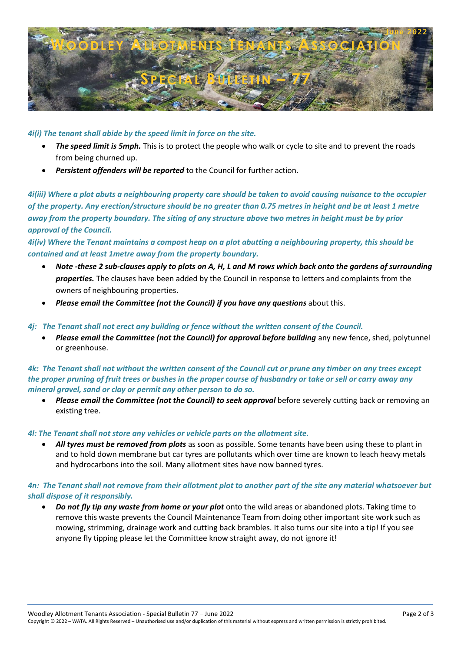

*4i(i) The tenant shall abide by the speed limit in force on the site.*

- *The speed limit is 5mph.* This is to protect the people who walk or cycle to site and to prevent the roads from being churned up.
- *Persistent offenders will be reported* to the Council for further action.

*4i(iii) Where a plot abuts a neighbouring property care should be taken to avoid causing nuisance to the occupier of the property. Any erection/structure should be no greater than 0.75 metres in height and be at least 1 metre away from the property boundary. The siting of any structure above two metres in height must be by prior approval of the Council.*

*4i(iv) Where the Tenant maintains a compost heap on a plot abutting a neighbouring property, this should be contained and at least 1metre away from the property boundary.*

- *Note -these 2 sub-clauses apply to plots on A, H, L and M rows which back onto the gardens of surrounding properties.* The clauses have been added by the Council in response to letters and complaints from the owners of neighbouring properties.
- *Please email the Committee (not the Council) if you have any questions* about this.

#### *4j: The Tenant shall not erect any building or fence without the written consent of the Council.*

 *Please email the Committee (not the Council) for approval before building* any new fence, shed, polytunnel or greenhouse.

*4k: The Tenant shall not without the written consent of the Council cut or prune any timber on any trees except the proper pruning of fruit trees or bushes in the proper course of husbandry or take or sell or carry away any mineral gravel, sand or clay or permit any other person to do so.*

*Please email the Committee (not the Council) to seek approval* before severely cutting back or removing an existing tree.

#### *4l: The Tenant shall not store any vehicles or vehicle parts on the allotment site.*

 *All tyres must be removed from plots* as soon as possible. Some tenants have been using these to plant in and to hold down membrane but car tyres are pollutants which over time are known to leach heavy metals and hydrocarbons into the soil. Many allotment sites have now banned tyres.

### *4n: The Tenant shall not remove from their allotment plot to another part of the site any material whatsoever but shall dispose of it responsibly.*

 *Do not fly tip any waste from home or your plot* onto the wild areas or abandoned plots. Taking time to remove this waste prevents the Council Maintenance Team from doing other important site work such as mowing, strimming, drainage work and cutting back brambles. It also turns our site into a tip! If you see anyone fly tipping please let the Committee know straight away, do not ignore it!